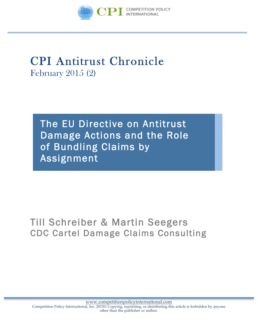

# CPI Antitrust Chronicle February 2015 (2)

The EU Directive on Antitrust Damage Actions and the Role of Bundling Claims by Assignment

# Till Schreiber & Martin Seegers CDC Cartel Damage Claims Consulting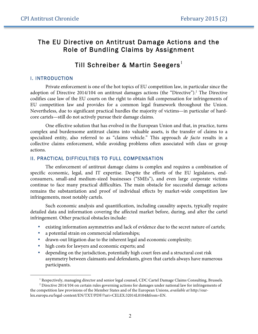### The EU Directive on Antitrust Damage Actions and the Role of Bundling Claims by Assignment

## Till Schreiber & Martin Seegers<sup>1</sup>

#### I. INTRODUCTION

 $\overline{a}$ 

Private enforcement is one of the hot topics of EU competition law, in particular since the adoption of Directive 2014/104 on antitrust damages actions (the "Directive"). <sup>2</sup> The Directive codifies case law of the EU courts on the right to obtain full compensation for infringements of EU competition law and provides for a common legal framework throughout the Union. Nevertheless, due to significant practical hurdles the majority of victims—in particular of hardcore cartels—still do not actively pursue their damage claims.

One effective solution that has evolved in the European Union and that, in practice, turns complex and burdensome antitrust claims into valuable assets, is the transfer of claims to a specialized entity, also referred to as "claims vehicle." This approach *de facto* results in a collective claims enforcement, while avoiding problems often associated with class or group actions.

#### II. PRACTICAL DIFFICULTIES TO FULL COMPENSATION

The enforcement of antitrust damage claims is complex and requires a combination of specific economic, legal, and IT expertise. Despite the efforts of the EU legislators, endconsumers, small-and medium-sized businesses ("SMEs"), and even large corporate victims continue to face many practical difficulties. The main obstacle for successful damage actions remains the substantiation and proof of individual effects by market-wide competition law infringements, most notably cartels.

Such economic analysis and quantification, including causality aspects, typically require detailed data and information covering the affected market before, during, and after the cartel infringement. Other practical obstacles include:

- existing information asymmetries and lack of evidence due to the secret nature of cartels;
- a potential strain on commercial relationships;
- drawn-out litigation due to the inherent legal and economic complexity;
- high costs for lawyers and economic experts; and
- depending on the jurisdiction, potentially high court fees and a structural cost risk asymmetry between claimants and defendants, given that cartels always have numerous participants.

<sup>1</sup> Respectively, managing director and senior legal counsel, CDC Cartel Damage Claims Consulting, Brussels*.*

<sup>2</sup> Directive 2014/104 on certain rules governing actions for damages under national law for infringements of the competition law provisions of the Member States and of the European Unions, *available at* http://eurlex.europa.eu/legal-content/EN/TXT/PDF/?uri=CELEX:32014L0104&from=EN.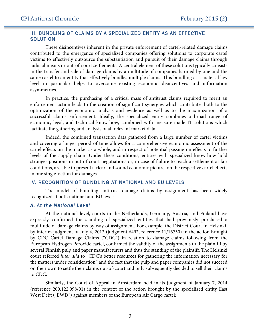#### III. BUNDLING OF CLAIMS BY A SPECIALIZED ENTITY AS AN EFFECTIVE **SOLUTION**

These disincentives inherent in the private enforcement of cartel-related damage claims contributed to the emergence of specialized companies offering solutions to corporate cartel victims to effectively outsource the substantiation and pursuit of their damage claims through judicial means or out-of-court settlements. A central element of these solutions typically consists in the transfer and sale of damage claims by a multitude of companies harmed by one and the same cartel to an entity that effectively bundles multiple claims. This bundling at a material law level in particular helps to overcome existing economic disincentives and information asymmetries.

In practice, the purchasing of a critical mass of antitrust claims required to merit an enforcement action leads to the creation of significant synergies which contribute both to the optimization of the economic analysis and evidence as well as to the maximization of a successful claims enforcement. Ideally, the specialized entity combines a broad range of economic, legal, and technical know-how, combined with measure-made IT solutions which facilitate the gathering and analysis of all relevant market data.

Indeed, the combined transaction data gathered from a large number of cartel victims and covering a longer period of time allows for a comprehensive economic assessment of the cartel effects on the market as a whole, and in respect of potential passing-on effects to further levels of the supply chain. Under these conditions, entities with specialized know-how hold stronger positions in out-of-court negotiations or, in case of failure to reach a settlement at fair conditions, are able to present a clear and sound economic picture on the respective cartel effects in one single action for damages.

#### IV. RECOGNITION OF BUNDLING AT NATIONAL AND EU LEVELS

The model of bundling antitrust damage claims by assignment has been widely recognized at both national and EU levels.

#### *A. At the National Level*

At the national level, courts in the Netherlands, Germany, Austria, and Finland have expressly confirmed the standing of specialized entities that had previously purchased a multitude of damage claims by way of assignment. For example, the District Court in Helsinki, by interim judgment of July 4, 2013 (judgment 6492, reference 11/16750) in the action brought by CDC Cartel Damage Claims ("CDC") in relation to damage claims following from the European Hydrogen Peroxide cartel, confirmed the validity of the assignments to the plaintiff by several Finnish pulp and paper manufacturers and thus the standing of the plaintiff. The Helsinki court referred *inter alia* to "CDC's better resources for gathering the information necessary for the matters under consideration" and the fact that the pulp and paper companies did not succeed on their own to settle their claims out-of-court and only subsequently decided to sell their claims to CDC.

Similarly, the Court of Appeal in Amsterdam held in its judgment of January 7, 2014 (reference 200.122.098/01) in the context of the action brought by the specialized entity East West Debt ("EWD") against members of the European Air Cargo cartel: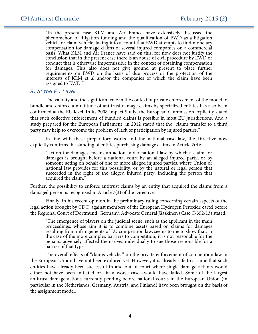"In the present case KLM and Air France have extensively discussed the phenomenon of litigation funding and the qualification of EWD as a litigation vehicle or claim vehicle, taking into account that EWD attempts to find monetary compensation for damage claims of several injured companies on a commercial basis. What KLM and Air France have said on this, for now does not justify the conclusion that in the present case there is an abuse of civil procedure by EWD or conduct that is otherwise impermissible in the context of obtaining compensation for damages. This also does not give ground at present to place further requirements on EWD on the basis of due process or the protection of the interests of KLM et al and/or the companies of which the claim have been assigned to EWD."

#### *B. At the EU Level*

The validity and the significant role in the context of private enforcement of the model to bundle and enforce a multitude of antitrust damage claims by specialized entities has also been confirmed at the EU level. In its 2008 Impact Study, the European Commission explicitly stated that such collective enforcement of bundled claims is possible in most EU jurisdictions. And a study prepared for the European Parliament in 2012 stated that the "claims transfer to a third party may help to overcome the problem of lack of participation by injured parties."

In line with these preparatory works and the national case law, the Directive now explicitly confirms the standing of entities purchasing damage claims in Article 2(4):

"'action for damages' means an action under national law by which a claim for damages is brought before a national court by an alleged injured party, or by someone acting on behalf of one or more alleged injured parties, where Union or national law provides for this possibility, or by the natural or legal person that succeeded in the right of the alleged injured party, including the person that acquired the claim."

Further, the possibility to enforce antitrust claims by an entity that acquired the claims from a damaged person is recognized in Article 7(3) of the Directive.

Finally, in his recent opinion in the preliminary ruling concerning certain aspects of the legal action brought by CDC against members of the European Hydrogen Peroxide cartel before the Regional Court of Dortmund, Germany, Advocate General Jäaskinen (Case C-352/13) stated:

"The emergence of players on the judicial scene, such as the applicant in the main proceedings, whose aim it is to combine assets based on claims for damages resulting from infringements of EU competition law, seems to me to show that, in the case of the more complex barriers to competition, it is not reasonable for the persons adversely affected themselves individually to sue those responsible for a barrier of that type."

The overall effects of "claims vehicles" on the private enforcement of competition law in the European Union have not been explored yet. However, it is already safe to assume that such entities have already been successful in and out of court where single damage actions would either not have been initiated or—in a worse case—would have failed. Some of the largest antitrust damage actions currently pending before national courts in the European Union (in particular in the Netherlands, Germany, Austria, and Finland) have been brought on the basis of the assignment model.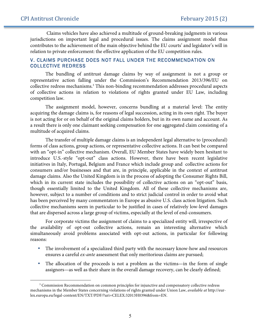$\overline{a}$ 

Claims vehicles have also achieved a multitude of ground-breaking judgments in various jurisdictions on important legal and procedural issues. The claims assignment model thus contributes to the achievement of the main objective behind the EU courts' and legislator's will in relation to private enforcement: the effective application of the EU competition rules.

#### V. CLAIMS PURCHASE DOES NOT FALL UNDER THE RECOMMENDATION ON COLLECTIVE REDRESS

The bundling of antitrust damage claims by way of assignment is not a group or representative action falling under the Commission's Recommendation 2013/396/EU on collective redress mechanisms. <sup>3</sup> This non-binding recommendation addresses procedural aspects of collective actions in relation to violations of rights granted under EU Law, including competition law.

The assignment model, however, concerns bundling at a material level: The entity acquiring the damage claims is, for reasons of legal succession, acting in its own right. The buyer is not acting for or on behalf of the original claims holders, but in its own name and account. As a result there is only one claimant seeking compensation for one aggregated claim consisting of a multitude of acquired claims.

The transfer of multiple damage claims is an independent legal alternative to (procedural) forms of class actions, group actions, or representative collective actions. It can best be compared with an "opt-in" collective mechanism. Overall, EU Member States have widely been hesitant to introduce U.S.-style "opt-out" class actions. However, there have been recent legislative initiatives in Italy, Portugal, Belgium and France which include group and collective actions for consumers and/or businesses and that are, in principle, applicable in the context of antitrust damage claims. Also the United Kingdom is in the process of adopting the Consumer Rights Bill, which in its current state includes the possibility of collective actions on an "opt-out" basis, though essentially limited to the United Kingdom. All of these collective mechanisms are, however, subject to a number of conditions and to strict judicial control in order to avoid what has been perceived by many commentators in Europe as abusive U.S. class action litigation. Such collective mechanisms seem in particular to be justified in cases of relatively low-level damages that are dispersed across a large group of victims, especially at the level of end-consumers.

For corporate victims the assignment of claims to a specialized entity will, irrespective of the availability of opt-out collective actions, remain an interesting alternative which simultaneously avoid problems associated with opt-out actions, in particular for following reasons:

- The involvement of a specialized third party with the necessary know-how and resources ensures a careful *ex-ante* assessment that only meritorious claims are pursued;
- The allocation of the proceeds is not a problem as the victims—in the form of single assignors—as well as their share in the overall damage recovery, can be clearly defined;

<sup>&</sup>lt;sup>3</sup> Commission Recommendation on common principles for injunctive and compensatory collective redress mechanisms in the Member States concerning violations of rights granted under Union Law, *available at* http://eurlex.europa.eu/legal-content/EN/TXT/PDF/?uri=CELEX:32013H0396&from=EN.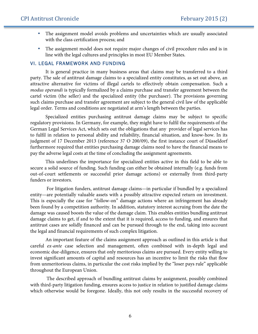- The assignment model avoids problems and uncertainties which are usually associated with the class certification process; and
- The assignment model does not require major changes of civil procedure rules and is in line with the legal cultures and principles in most EU Member States.

#### VI. LEGAL FRAMEWORK AND FUNDING

It is general practice in many business areas that claims may be transferred to a third party. The sale of antitrust damage claims to a specialized entity constitutes, as set out above, an attractive alternative for victims of illegal cartels to effectively obtain compensation. Such a *modus operandi* is typically formalized by a claims purchase and transfer agreement between the cartel victim (the seller) and the specialized entity (the purchaser). The provisions governing such claims purchase and transfer agreement are subject to the general civil law of the applicable legal order. Terms and conditions are negotiated at arm's length between the parties.

Specialized entities purchasing antitrust damage claims may be subject to specific regulatory provisions. In Germany, for example, they might have to fulfil the requirements of the German Legal Services Act, which sets out the obligations that any provider of legal services has to fulfil in relation to personal ability and reliability, financial situation, and know-how. In its judgment of 17 December 2013 (reference 37 O 200/09), the first instance court of Düsseldorf furthermore required that entities purchasing damage claims need to have the financial means to pay the adverse legal costs at the time of concluding the assignment agreements.

This underlines the importance for specialized entities active in this field to be able to secure a solid source of funding. Such funding can either be obtained internally (e.g. funds from out-of-court settlements or successful prior damage actions) or externally from third-party funders or investors.

For litigation funders, antitrust damage claims—in particular if bundled by a specialized entity—are potentially valuable assets with a possibly attractive expected return on investment. This is especially the case for "follow-on" damage actions where an infringement has already been found by a competition authority. In addition, statutory interest accruing from the date the damage was caused boosts the value of the damage claim. This enables entities bundling antitrust damage claims to get, if and to the extent that it is required, access to funding, and ensures that antitrust cases are solidly financed and can be pursued through to the end, taking into account the legal and financial requirements of such complex litigation.

An important feature of the claims assignment approach as outlined in this article is that careful *ex-ante* case selection and management, often combined with in-depth legal and economic due-diligence, ensures that only meritorious claims are pursued. Every entity willing to invest significant amounts of capital and resources has an incentive to limit the risks that flow from unmeritorious claims, in particular the cost risks implied by the "loser pays rule" applicable throughout the European Union.

The described approach of bundling antitrust claims by assignment, possibly combined with third-party litigation funding, ensures access to justice in relation to justified damage claims which otherwise would be foregone. Ideally, this not only results in the successful recovery of